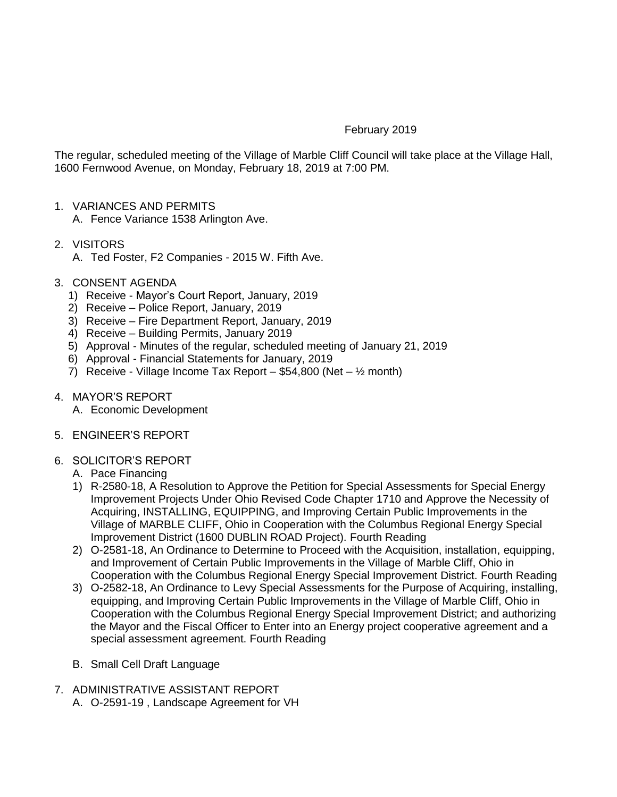## February 2019

The regular, scheduled meeting of the Village of Marble Cliff Council will take place at the Village Hall, 1600 Fernwood Avenue, on Monday, February 18, 2019 at 7:00 PM.

1. VARIANCES AND PERMITS

A. Fence Variance 1538 Arlington Ave.

- 2. VISITORS
	- A. Ted Foster, F2 Companies 2015 W. Fifth Ave.
- 3. CONSENT AGENDA
	- 1) Receive Mayor's Court Report, January, 2019
	- 2) Receive Police Report, January, 2019
	- 3) Receive Fire Department Report, January, 2019
	- 4) Receive Building Permits, January 2019
	- 5) Approval Minutes of the regular, scheduled meeting of January 21, 2019
	- 6) Approval Financial Statements for January, 2019
	- 7) Receive Village Income Tax Report \$54,800 (Net  $\frac{1}{2}$  month)
- 4. MAYOR'S REPORT
	- A. Economic Development
- 5. ENGINEER'S REPORT

## 6. SOLICITOR'S REPORT

- A. Pace Financing
- 1) R-2580-18, A Resolution to Approve the Petition for Special Assessments for Special Energy Improvement Projects Under Ohio Revised Code Chapter 1710 and Approve the Necessity of Acquiring, INSTALLING, EQUIPPING, and Improving Certain Public Improvements in the Village of MARBLE CLIFF, Ohio in Cooperation with the Columbus Regional Energy Special Improvement District (1600 DUBLIN ROAD Project). Fourth Reading
- 2) O-2581-18, An Ordinance to Determine to Proceed with the Acquisition, installation, equipping, and Improvement of Certain Public Improvements in the Village of Marble Cliff, Ohio in Cooperation with the Columbus Regional Energy Special Improvement District. Fourth Reading
- 3) O-2582-18, An Ordinance to Levy Special Assessments for the Purpose of Acquiring, installing, equipping, and Improving Certain Public Improvements in the Village of Marble Cliff, Ohio in Cooperation with the Columbus Regional Energy Special Improvement District; and authorizing the Mayor and the Fiscal Officer to Enter into an Energy project cooperative agreement and a special assessment agreement. Fourth Reading
- B. Small Cell Draft Language
- 7. ADMINISTRATIVE ASSISTANT REPORT A. O-2591-19 , Landscape Agreement for VH